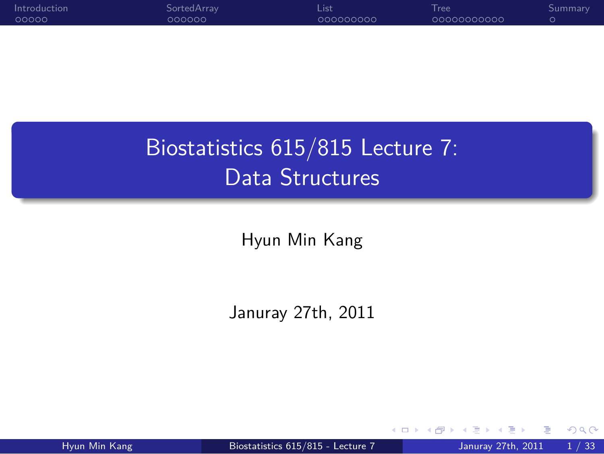

.. . Biostatistics 615/815 Lecture 7: Data Structures

.

Hyun Min Kang

Januray 27th, 2011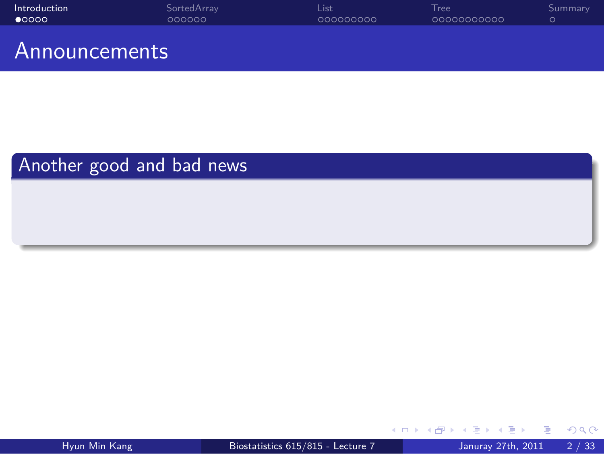

.. .

Another good and bad news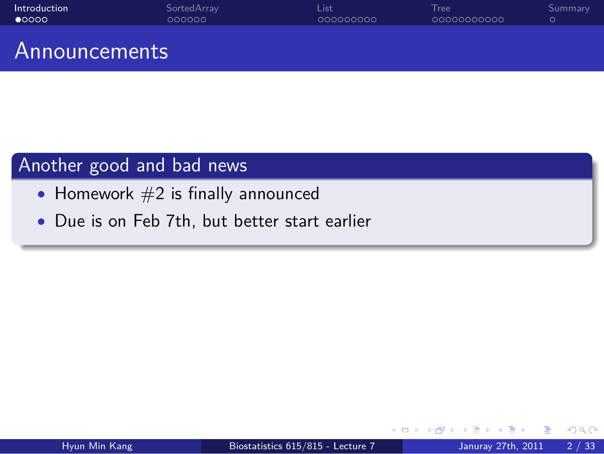Introduction<br>● 0000 SortedArray<br>000000 List<br>000000000 Tree<br>00000000000 . Summary Announcements

.. .

Another good and bad news

- Homework  $#2$  is finally announced
- *•* Due is on Feb 7th, but better start earlier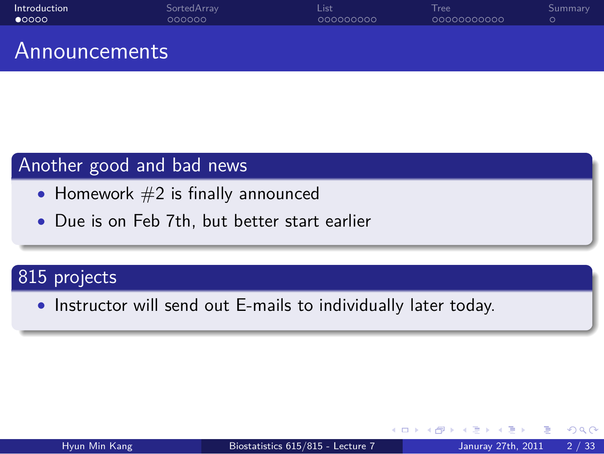#### Introduction<br>● 0000 SortedArray<br>000000 List<br>000000000 Tree<br>00000000000 . Summary Announcements

# Another good and bad news

- Homework  $#2$  is finally announced
- *•* Due is on Feb 7th, but better start earlier

# . 815 projects ..

*•* Instructor will send out E-mails to individually later today.

.. .

.. .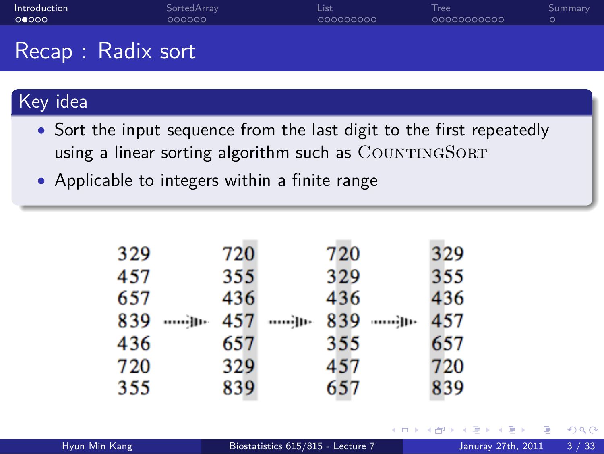Tree<br>00000000000

. Summary

Recap : Radix sort

# Key idea

*•* Sort the input sequence from the last digit to the first repeatedly using a linear sorting algorithm such as COUNTINGSORT

.. .

List<br>000000000

*•* Applicable to integers within a finite range

SortedArray<br>000000

| 329 | 720 | 720 |             | 329 |  |
|-----|-----|-----|-------------|-----|--|
| 457 | 355 | 329 |             | 355 |  |
| 657 | 436 | 436 |             | 436 |  |
| 839 |     |     | 839 - ամյու | 457 |  |
| 436 | 657 | 355 |             | 657 |  |
| 720 | 329 | 457 |             | 720 |  |
| 355 | 839 | 657 |             | 839 |  |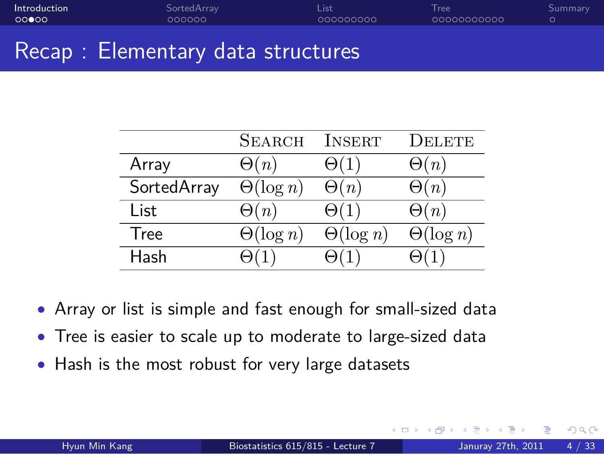#### . . . . . Introduction SortedArray<br>000000 List<br>000000000 Tree<br>00000000000 . Summary Recap : Elementary data structures

|             | <b>SEARCH</b>    | <b>INSERT</b>    | Delete           |
|-------------|------------------|------------------|------------------|
| Array       | $\Theta(n)$      | $\Theta(1)$      | $\Theta(n)$      |
| SortedArray | $\Theta(\log n)$ | $\Theta(n)$      | $\Theta(n)$      |
| List        | $\Theta(n)$      | $\Theta(1)$      | $\Theta(n)$      |
| Tree        | $\Theta(\log n)$ | $\Theta(\log n)$ | $\Theta(\log n)$ |
| Hash        |                  |                  |                  |

- *•* Array or list is simple and fast enough for small-sized data
- *•* Tree is easier to scale up to moderate to large-sized data
- *•* Hash is the most robust for very large datasets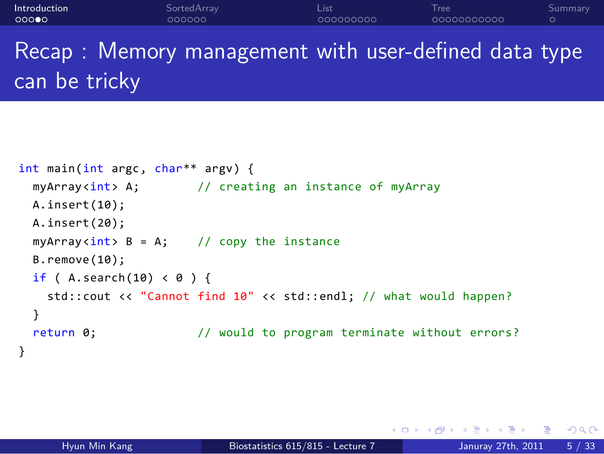#### . . . . . Introduction SortedArray<br>000000 List<br>000000000 Tree<br>00000000000 . Summary

Recap : Memory management with user-defined data type can be tricky

```
int main(int argc, char** argv) {
 myArray<int> A; \frac{1}{2} creating an instance of myArray
 A.insert(10);
 A.insert(20);
 myArray<sub>int</sub> > B = A; // copy the instance
  B.remove(10);
 if ( A.\,search(10) < 0 ) {
   std::cout << "Cannot find 10" << std::endl; // what would happen?
 }
 return 0; \frac{1}{2} // would to program terminate without errors?
}
```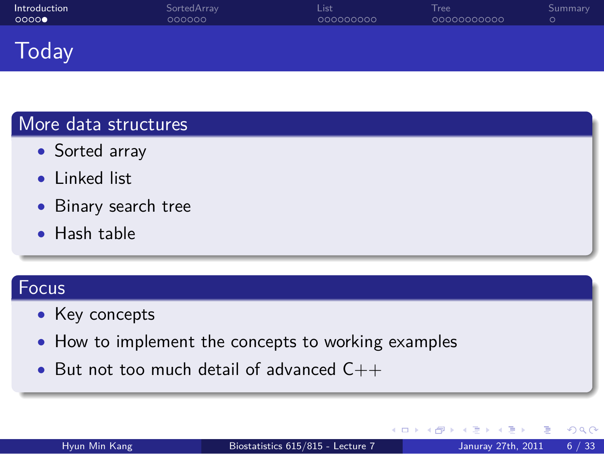#### Introduction<br>00000 SortedArray<br>000000 List<br>000000000 Tree<br>00000000000 . Summary Today

.. .

.. .

# More data structures

- *•* Sorted array
- *•* Linked list
- *•* Binary search tree
- *•* Hash table

# . Focus ..

- *•* Key concepts
- *•* How to implement the concepts to working examples
- *•* But not too much detail of advanced C++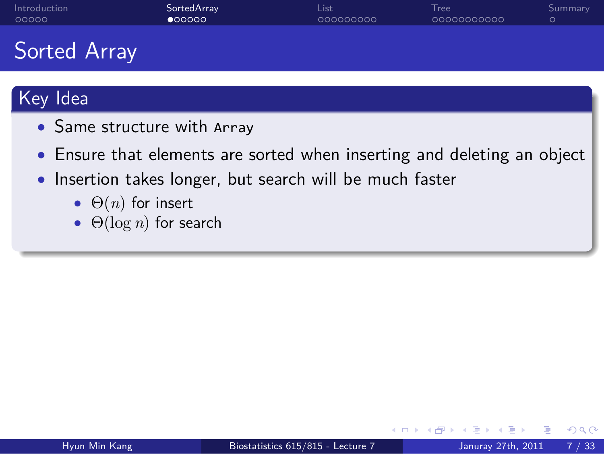### SortedArray<br>● 00000

Tree<br>00000000000

. Summary

## Sorted Array

# Key Idea

- *•* Same structure with Array
- *•* Ensure that elements are sorted when inserting and deleting an object

.. .

List<br>000000000

- *•* Insertion takes longer, but search will be much faster
	- *•* Θ(*n*) for insert
	- *•* Θ(log *n*) for search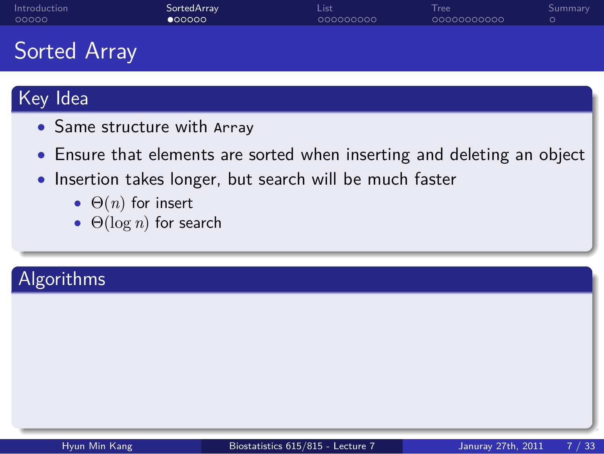### SortedArray<br>● 00000

Tree<br>00000000000

. Summary

## Sorted Array

# Key Idea

- *•* Same structure with Array
- *•* Ensure that elements are sorted when inserting and deleting an object

.. .

List<br>000000000

- *•* Insertion takes longer, but search will be much faster
	- *•* Θ(*n*) for insert
	- *•* Θ(log *n*) for search

# . Algorithms ..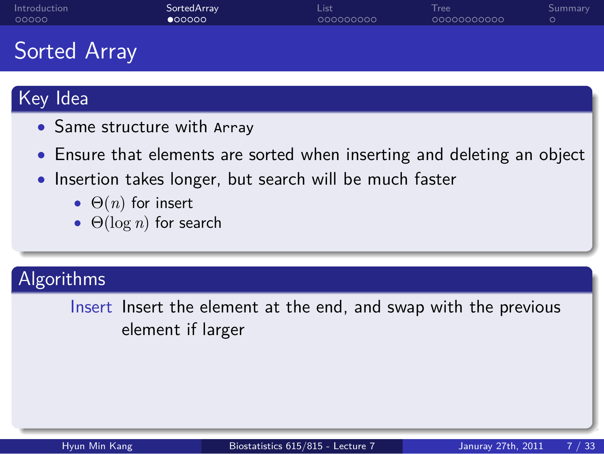### SortedArray<br>● 00000

Tree<br>00000000000

. Summary

## Sorted Array

# Key Idea

- *•* Same structure with Array
- *•* Ensure that elements are sorted when inserting and deleting an object

List<br>000000000

- *•* Insertion takes longer, but search will be much faster
	- *•* Θ(*n*) for insert
	- *•* Θ(log *n*) for search

# . Algorithms ..

Insert Insert the element at the end, and swap with the previous element if larger

.. .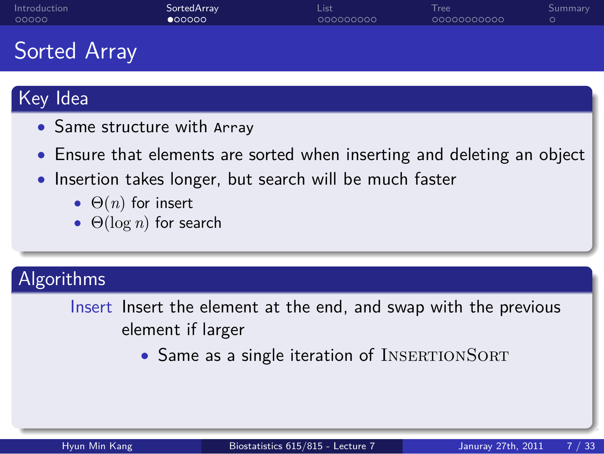### SortedArray<br>● 00000

Tree<br>00000000000

. Summary

## Sorted Array

# Key Idea

- *•* Same structure with Array
- *•* Ensure that elements are sorted when inserting and deleting an object

List<br>000000000

- *•* Insertion takes longer, but search will be much faster
	- *•* Θ(*n*) for insert
	- *•* Θ(log *n*) for search

# . Algorithms ..

Insert Insert the element at the end, and swap with the previous element if larger

.. .

• Same as a single iteration of INSERTIONSORT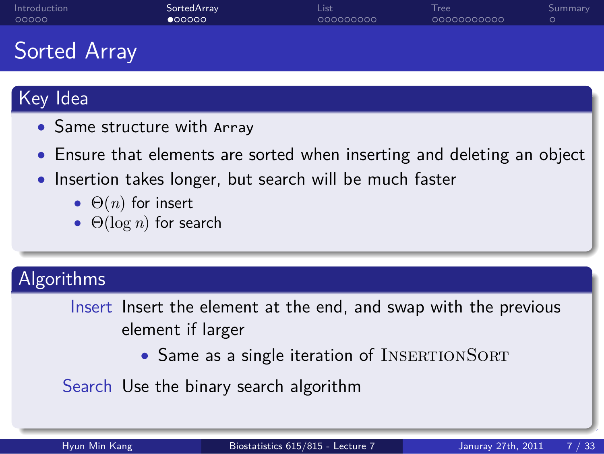### SortedArray<br>● 00000

Tree<br>00000000000

. Summary

## Sorted Array

# Key Idea

- *•* Same structure with Array
- *•* Ensure that elements are sorted when inserting and deleting an object

.. .

List<br>000000000

- *•* Insertion takes longer, but search will be much faster
	- *•* Θ(*n*) for insert
	- *•* Θ(log *n*) for search

# . Algorithms ..

- Insert Insert the element at the end, and swap with the previous element if larger
	- Same as a single iteration of INSERTIONSORT

Search Use the binary search algorithm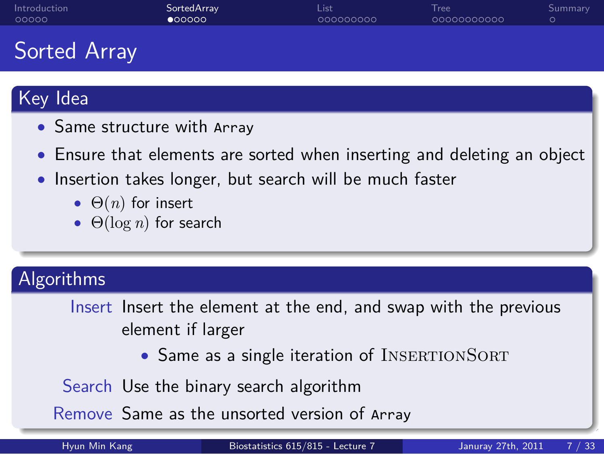### SortedArray<br>● 00000

Tree<br>00000000000

. Summary

### Sorted Array

# Key Idea

- *•* Same structure with Array
- *•* Ensure that elements are sorted when inserting and deleting an object

.. .

List<br>000000000

- *•* Insertion takes longer, but search will be much faster
	- *•* Θ(*n*) for insert
	- *•* Θ(log *n*) for search

# . Algorithms ..

- Insert Insert the element at the end, and swap with the previous element if larger
	- Same as a single iteration of INSERTIONSORT

Search Use the binary search algorithm

.. . Remove Same as the unsorted version of Array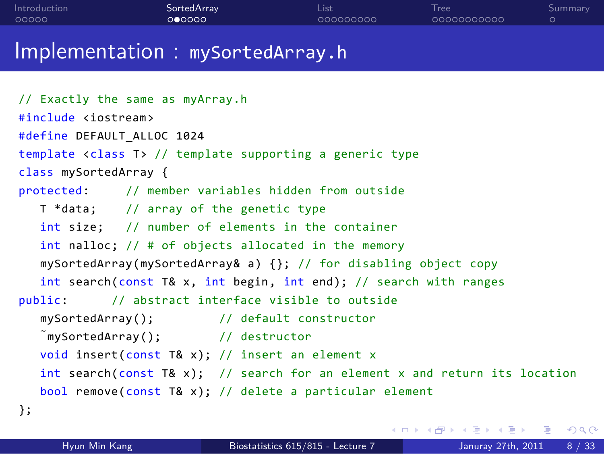## Implementation : mySortedArray.h // Exactly the same as myArray.h #include <iostream> #define DEFAULT\_ALLOC 1024

List<br>000000000

Tree<br>00000000000

. Summary

SortedArray<br>000000

. . . . . Introduction

template <class T> // template supporting a generic type class mySortedArray { protected: // member variables hidden from outside T \*data; // array of the genetic type int size; // number of elements in the container int nalloc; // # of objects allocated in the memory mySortedArray(mySortedArray& a) {}; // for disabling object copy int search(const T& x, int begin, int end); // search with ranges public: // abstract interface visible to outside mySortedArray(); // default constructor ˜mySortedArray(); // destructor void insert(const T& x); // insert an element x int search(const T& x); // search for an element x and return its location bool remove(const T& x); // delete a particular element };

|               |                                   |  | - KED KA # D K # D K # # H # D A Q O |  |
|---------------|-----------------------------------|--|--------------------------------------|--|
| Hyun Min Kang | Biostatistics 615/815 - Lecture 7 |  | Januray 27th, 2011 8 / 33            |  |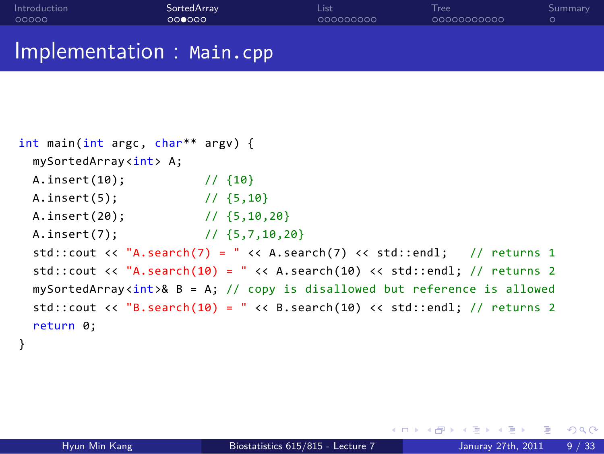| Introduction             | SortedArray | List      | Tree        | Summary |
|--------------------------|-------------|-----------|-------------|---------|
| 00000                    | 000000      | 000000000 | 00000000000 | $\circ$ |
| Implementation: Main.cpp |             |           |             |         |

Sorted Ar

```
int main(int argc, char** argv) {
 mySortedArray<int> A;
 A.insert(10); // {10}
 A.insert(5); // {5,10}
 A.insert(20); // {5,10,20}
 A.insert(7); // {5,7,10,20}
 std::cout << "A.search(7) = " << A.search(7) << std::endl; // returns 1
 std::cout << "A.search(10) = " << A.search(10) << std::endl; // returns 2
 mySortedArray<int>& B = A; // copy is disallowed but reference is allowed
 std::cout << "B.search(10) = " << B.search(10) << std::endl; // returns 2
 return 0;
}
```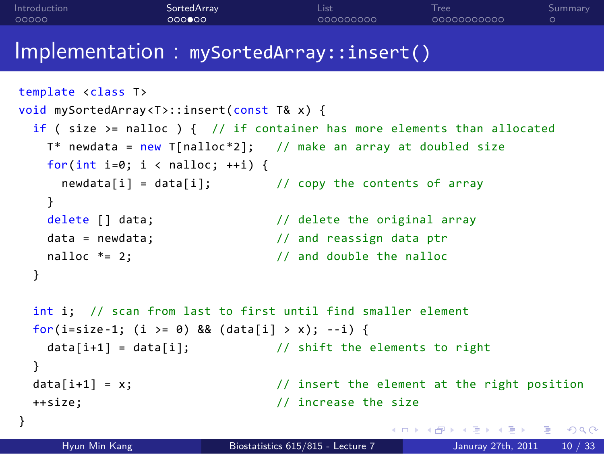### . . . . . . template <class T> void mySortedArray <T>::insert(const T& x) { if ( size >= nalloc ) { // if container has more elements than allocated T\* newdata = new T[nalloc\*2]; // make an array at doubled size for(int i=0; i < nalloc; ++i) { newdata[i] = data[i]; // copy the contents of array } delete [] data;  $\frac{1}{2}$  // delete the original array data = newdata;  $\frac{1}{2}$  and reassign data ptr nalloc  $* = 2$ ;  $//$  and double the nalloc } int i; // scan from last to first until find smaller element for(i=size-1; (i >= 0) && (data[i] > x); --i) {  $data[i+1] = data[i];$  // shift the elements to right } data[i+1] = x; // insert the element at the right position ++size; // increase the size } Hyun Min Kang Biostatistics 615/815 - Lecture 7 Januray 27th, 2011 10 / 33

List<br>000000000

Tree<br>00000000000

. Summary

. . . . . Introduction

SortedArray<br>000**0**00

Implementation : mySortedArray::insert()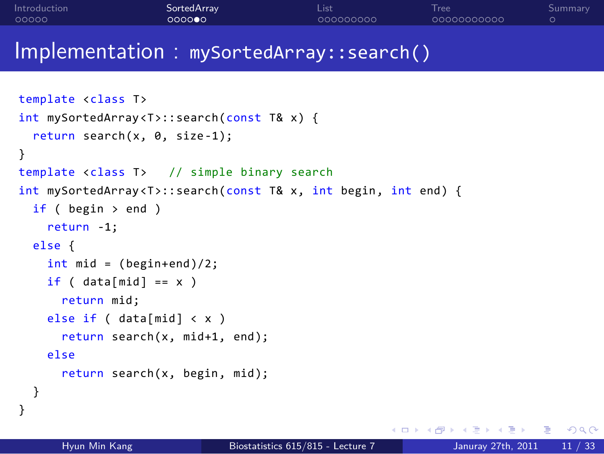#### . . . . . Introduction SortedArray<br>000000 List<br>000000000 Tree<br>00000000000 . Summary

```
Implementation : mySortedArray::search()
```

```
. . . . . .
Hyun Min Kang Biostatistics 615/815 - Lecture 7 Januray 27th, 2011 11 / 33template <class T>
int mySortedArray <T>::search(const T& x) {
 return search(x, 0, size-1);
}
template <class T> // simple binary search
int mySortedArray<T>::search(const T& x, int begin, int end) {
 if ( begin \rightarrow end )
    return -1;
  else {
    int mid = (begin+end)/2;if (data[mid] == x)return mid;
    else if ( data[mid] < x )
      return search(x, mid+1, end);
    else
      return search(x, begin, mid);
  }
}
```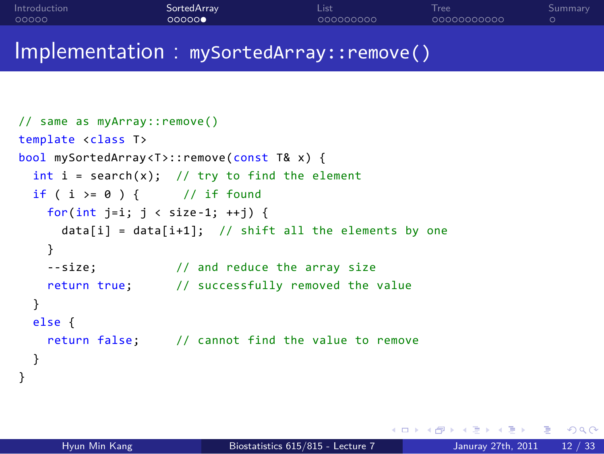#### . . . . . Introduction SortedArray<br>00000**0** List<br>000000000 Tree<br>00000000000 . Summary

```
Implementation : mySortedArray::remove()
```

```
// same as myArray::remove()
template <class T>
bool mySortedArray <T>::remove(const T& x) {
 int i = search(x); // try to find the element
 if ( i \ge 0 ) { // if found
   for(int j=i; j < size-1; ++j) {
     data[i] = data[i+1]; // shift all the elements by one
   }
   --size; // and reduce the array size
   return true; // successfully removed the value
  }
 else {
   return false; // cannot find the value to remove
  }
}
```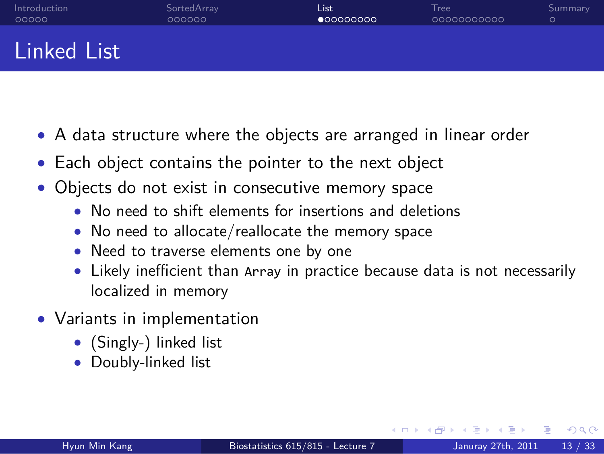#### . . . . . Introduction SortedArray<br>000000 List<br>● 00000000 Tree<br>00000000000 . Summary Linked List

- *•* A data structure where the objects are arranged in linear order
- *•* Each object contains the pointer to the next object
- *•* Objects do not exist in consecutive memory space
	- *•* No need to shift elements for insertions and deletions
	- *•* No need to allocate/reallocate the memory space
	- *•* Need to traverse elements one by one
	- *•* Likely inefficient than Array in practice because data is not necessarily localized in memory
- *•* Variants in implementation
	- *•* (Singly-) linked list
	- *•* Doubly-linked list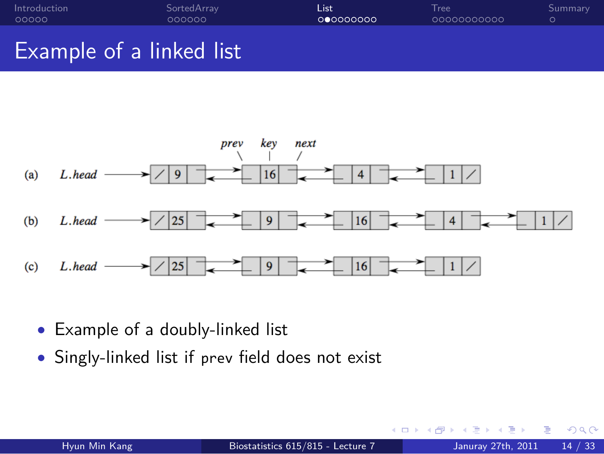

List<br>00000000

Tree<br>00000000000

. Summary

*•* Example of a doubly-linked list

. . . . . Introduction

*•* Singly-linked list if prev field does not exist

SortedArray<br>000000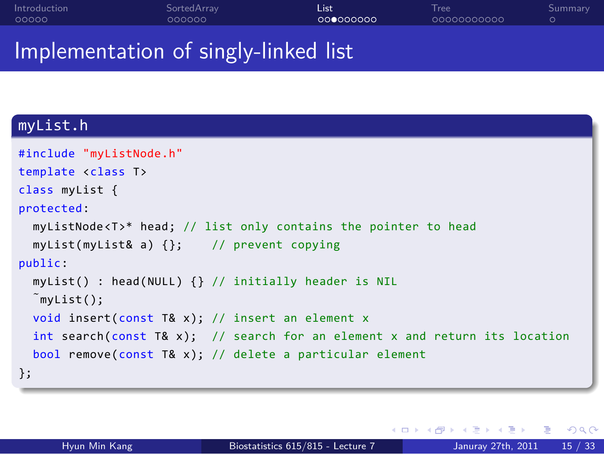#### . . . . . Introduction SortedArray<br>000000 List<br>00**0**00000 Tree<br>00000000000 . Summary Implementation of singly-linked list

## . myList.h ..

```
.
};
.. .
#include "myListNode.h"
template <class T>
class myList {
protected:
 myListNode<T>* head; // list only contains the pointer to head
 myList(myList& a) {}; // prevent copying
public:
 myList() : head(NULL) {} // initially header is NIL
 ˜myList();
 void insert(const T& x); // insert an element x
 int search(const T& x); // search for an element x and return its location
 bool remove(const T& x); // delete a particular element
```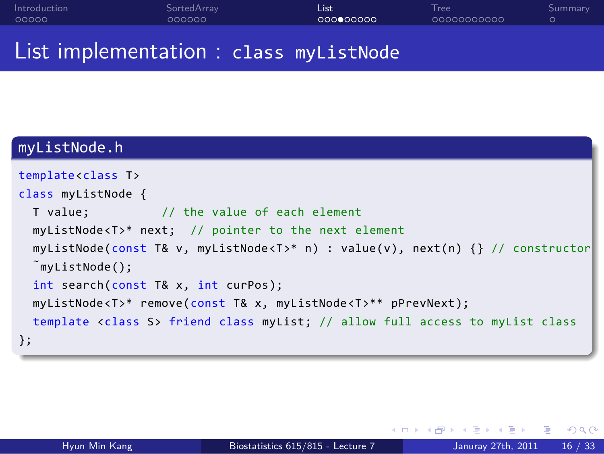| Introduction | SortedArrav                            | List       | Tree        | Summarv |
|--------------|----------------------------------------|------------|-------------|---------|
| 00000        | 000000                                 | 0000000000 | 00000000000 |         |
|              | List implementation : class myListNode |            |             |         |

## myListNode.h

| template <class t=""></class>                                                           |
|-----------------------------------------------------------------------------------------|
| class myListNode {                                                                      |
| T value; // the value of each element                                                   |
| $myListNode < T>^*$ next; // pointer to the next element                                |
| $myListNode(const T& v, myListNode < T>^* n) : value(v), next(n) {\} // constructor$    |
| $\tilde{m}$ vListNode();                                                                |
| int search(const T& x, int curPos);                                                     |
| myListNode <t>* remove(const T&amp; x, myListNode<t>** pPrevNext);</t></t>              |
| template <class s=""> friend class myList; // allow full access to myList class</class> |
| $\}$ ;                                                                                  |
|                                                                                         |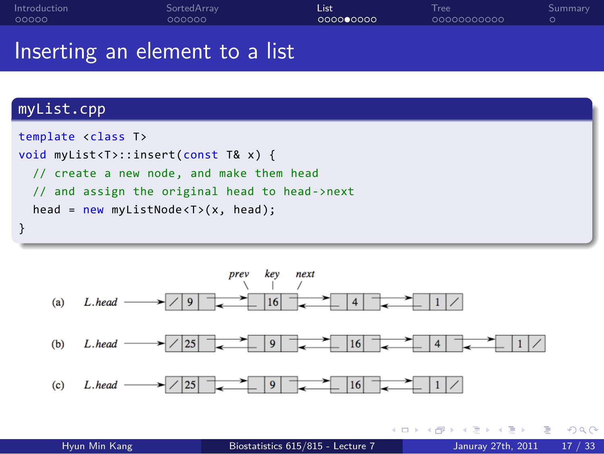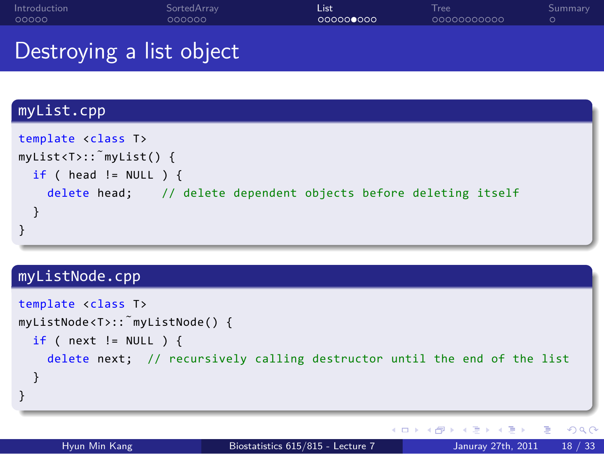### Destroying a list object myList.cpp . } .. . template <class T> myList<T>::˜myList() { if ( head !=  $NULL$  ) { delete head; // delete dependent objects before deleting itself } myListNode.cpp

List<br>00000**0**000

Tree<br>00000000000

. Summary

SortedArray<br>000000

. . . . . Introduction

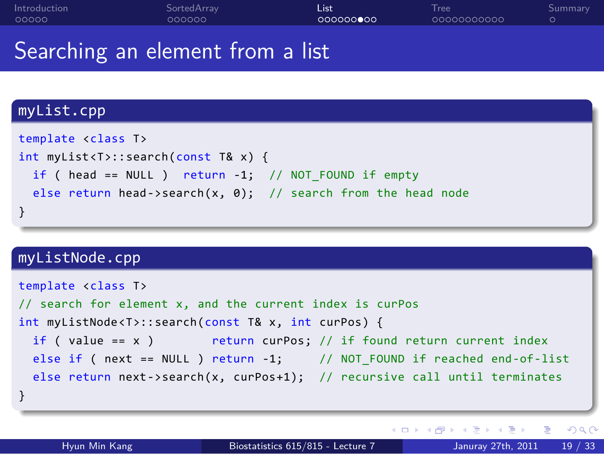#### . . . . . Introduction SortedArray<br>000000 **List**<br>000000000 Tree<br>00000000000 . Summary Searching an element from a list

## myList.cpp

| template <class t=""></class>                                |
|--------------------------------------------------------------|
| int myList <t>::search(const T&amp; x) {</t>                 |
| if ( head == NULL ) return $-1$ ; // NOT FOUND if empty      |
| else return head->search(x, 0); // search from the head node |
|                                                              |

### . . . . . . myListNode.cpp . } .. . template <class T> // search for element x, and the current index is curPos int myListNode<T>::search(const T& x, int curPos) { if ( value ==  $x$  ) return curPos; // if found return current index else if ( next == NULL ) return -1; // NOT\_FOUND if reached end-of-list else return next->search(x, curPos+1); // recursive call until terminates Hyun Min Kang Biostatistics 615/815 - Lecture 7 Januray 27th, 2011 19 / 33

.. .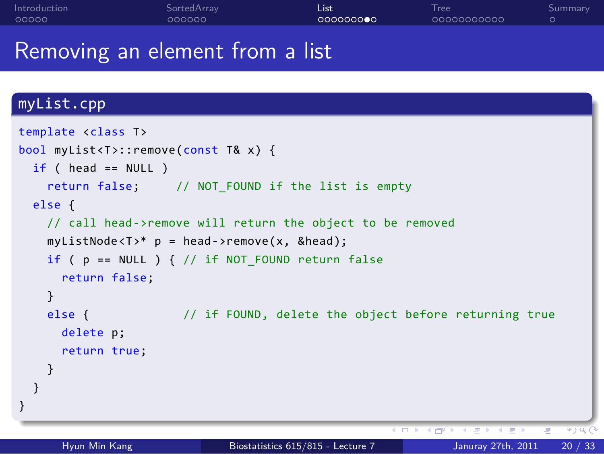#### . . . . . Introduction SortedArray<br>000000 List<br>0000000**0**0 Tree<br>00000000000 . Summary Removing an element from a list

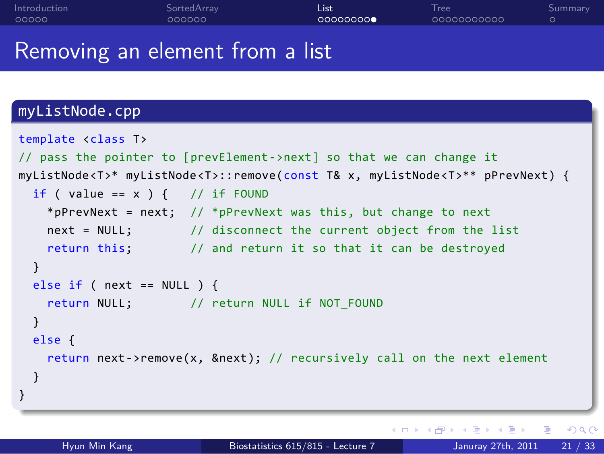#### . . . . . Introduction SortedArray<br>000000 List<br>00000000 Tree<br>00000000000 . Summary Removing an element from a list

| myListNode.cpp                                                                                 |
|------------------------------------------------------------------------------------------------|
| template <class t=""></class>                                                                  |
| // pass the pointer to [prevElement->next] so that we can change it                            |
| myListNode <t>* myListNode<t>::remove(const T&amp; x, myListNode<t>** pPrevNext) {</t></t></t> |
| if ( value == $x$ ) { // if FOUND                                                              |
| *pPrevNext = next; // *pPrevNext was this, but change to next                                  |
| next = NULL; // disconnect the current object from the list                                    |
| return this; // and return it so that it can be destroyed                                      |
| ł                                                                                              |
| else if ( $next == NULL$ ) {                                                                   |
| return NULL; // return NULL if NOT FOUND                                                       |
| ł                                                                                              |
| else f                                                                                         |
| return next->remove(x, &next); // recursively call on the next element                         |
|                                                                                                |
|                                                                                                |
|                                                                                                |
| K □ ▶ K @ ▶ K 로 ▶ K 로 ▶ _ 로 _ K 9 Q O                                                          |
| Hyun Min Kang<br>Biostatistics 615/815 - Lecture 7<br>Januray 27th, 2011<br>21 / 33            |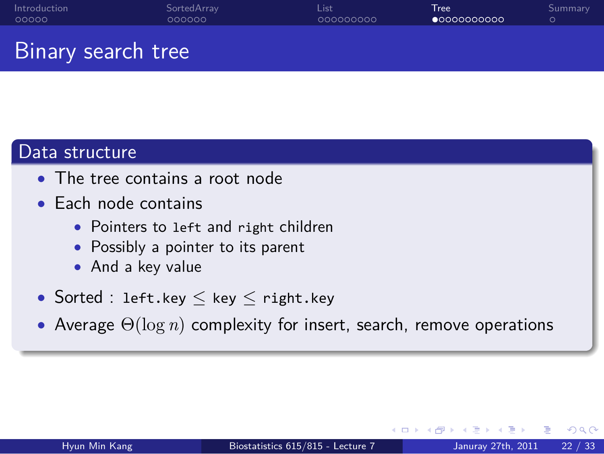#### . . . . . Introduction SortedArray<br>000000 List<br>000000000 Tree<br>●○○○○○○○○○○ . Summary Binary search tree

# Data structure

- *•* The tree contains a root node
- *•* Each node contains
	- *•* Pointers to left and right children
		- *•* Possibly a pointer to its parent
		- *•* And a key value
- *•* Sorted : left.key *≤* key *≤* right.key
- .. . *•* Average Θ(log *n*) complexity for insert, search, remove operations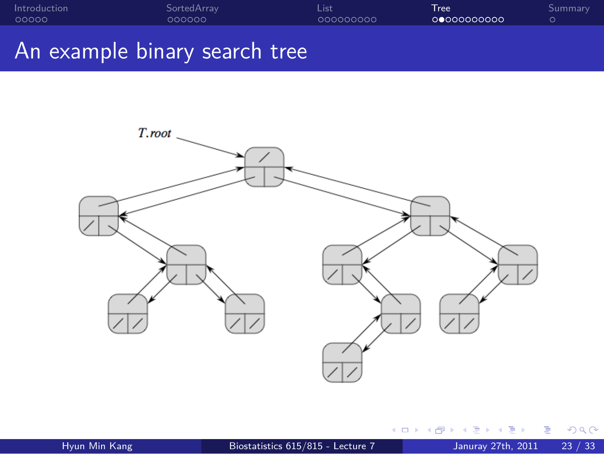

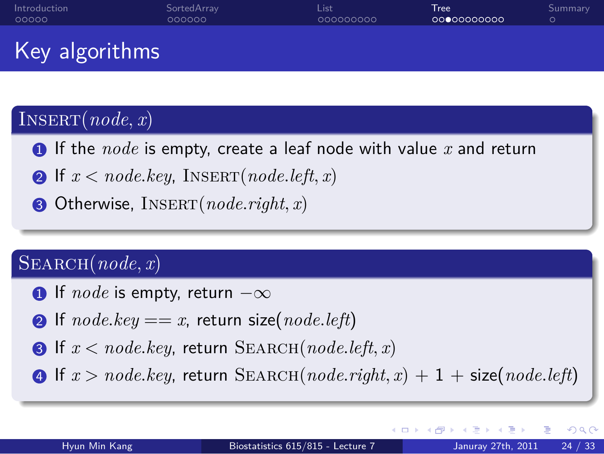### Key algorithms

. . . . . Introduction

### .  $\int$ INSERT $(node, x)$

**1.1.** If the *node* is empty, create a leaf node with value *x* and return

.. .

List<br>000000000

2. If  $x < node$ *.key*, INSERT( $node$ *.left,x*)

SortedArray<br>000000

.3. Otherwise, Insert(*node.right, x*)

### .  $\boxed{\text{SEARCH}(node, x)}$

- .1. If *node* is empty, return *−∞*
- $\bullet$  If  $node(key == x,$  return size( $node.left)$
- .3. If *x < node.key*, return Search(*node.left, x*)
- .. .  $\bullet$  If  $x > node(key,$  return SEARCH( $node.right, x) + 1 + size(node.left)$

Tree<br>00000000000

. Summary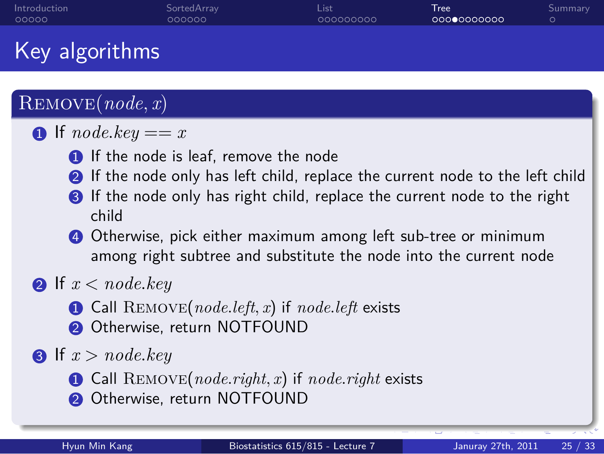### SortedArray<br>000000

Tree<br>000●0000000

. Summary

### Key algorithms

### .  $\bigcap$ **REMOVE** $(node, x)$

### $\bigcirc$  If *node.key* == *x*

- **1.** If the node is leaf, remove the node
- **2** If the node only has left child, replace the current node to the left child

List<br>000000000

- **8** If the node only has right child, replace the current node to the right child
- .4. Otherwise, pick either maximum among left sub-tree or minimum among right subtree and substitute the node into the current node

.. .

### **2.** If  $x < node$ . *key*

- .1. Call Remove(*node.left, x*) if *node.left* exists
- <sup>2</sup> Otherwise, return NOTFOUND

### **3**. If  $x > node$ *.key*

- .1. Call Remove(*node.right, x*) if *node.right* exists
- <sup>2</sup> Otherwise, return NOTFOUND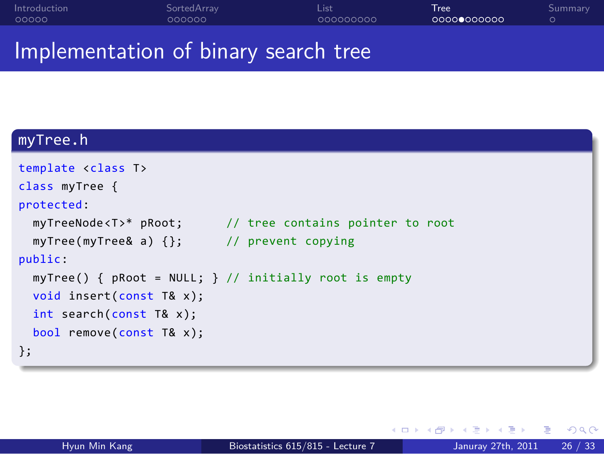#### . . . . . Introduction SortedArray<br>000000 List<br>000000000 Tree<br>0000**0**000000 . Summary Implementation of binary search tree

## . myTree.h ..

| template <class t=""></class>                 |                                                         |
|-----------------------------------------------|---------------------------------------------------------|
| class myTree {                                |                                                         |
| protected:                                    |                                                         |
| myTreeNode <t>* pRoot;</t>                    | // tree contains pointer to root                        |
| myTree(myTree& a) $\{\}$ ; // prevent copying |                                                         |
| public:                                       |                                                         |
|                                               | myTree() { $pRoot = NULL;$ } // initially root is empty |
| void insert(const $T&x$ );                    |                                                         |
| $int$ search(const T& x);                     |                                                         |
| $bool$ remove(const T& x);                    |                                                         |
| $\}$ ;                                        |                                                         |
|                                               |                                                         |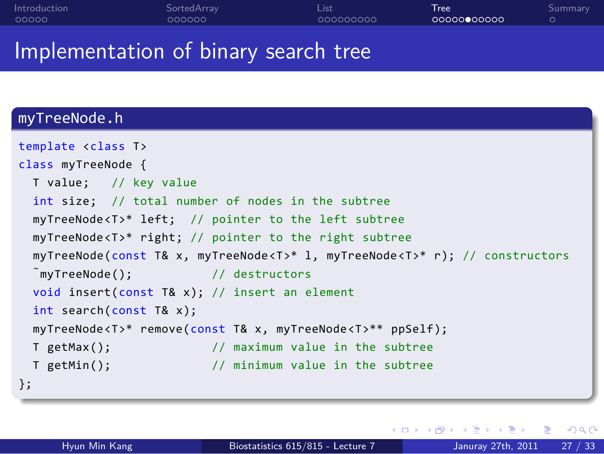#### . . . . . Introduction SortedArray<br>000000 List<br>000000000 Tree<br>00000**0**00000 Implementation of binary search tree



. Summary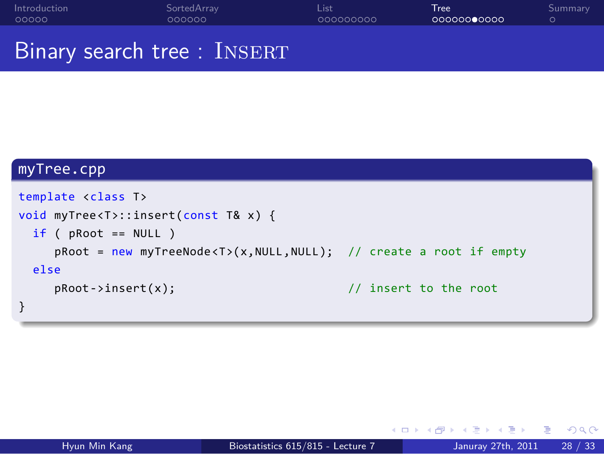. . . . . Introduction SortedArray<br>000000 List<br>000000000 Tree<br>000000**0**0000 . Summary Binary search tree : INSERT

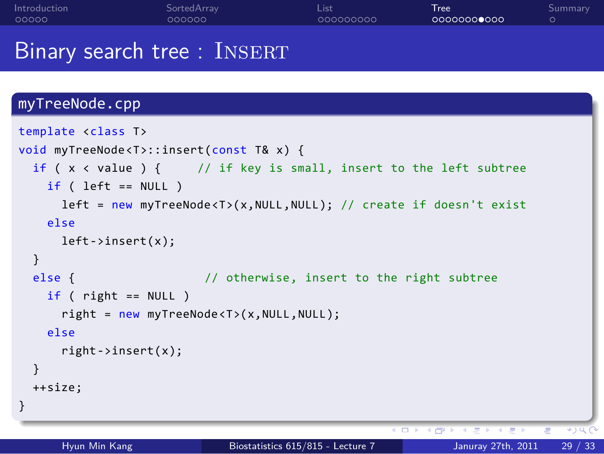#### . . . . . Introduction SortedArray<br>000000 List<br>000000000 Tree<br>0000000**0**000 . Summary Binary search tree : INSERT

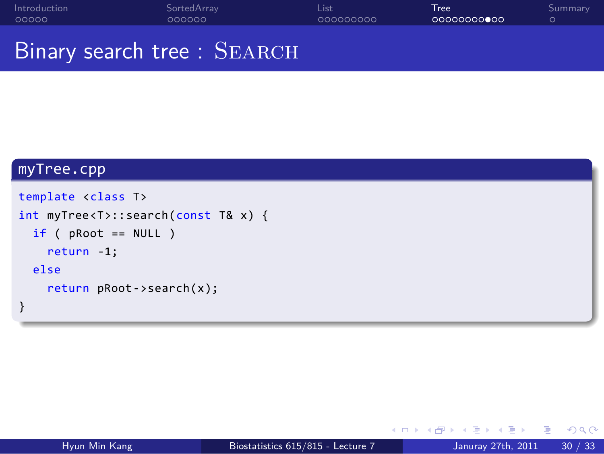. . . . . Introduction SortedArray<br>000000 List<br>000000000 Tree<br>00000000**0**00 . Summary Binary search tree : SEARCH

### myTree.cpp . } .. . template <class T> int myTree<T>::search(const T& x) { if ( pRoot == NULL ) return -1; else return pRoot->search(x);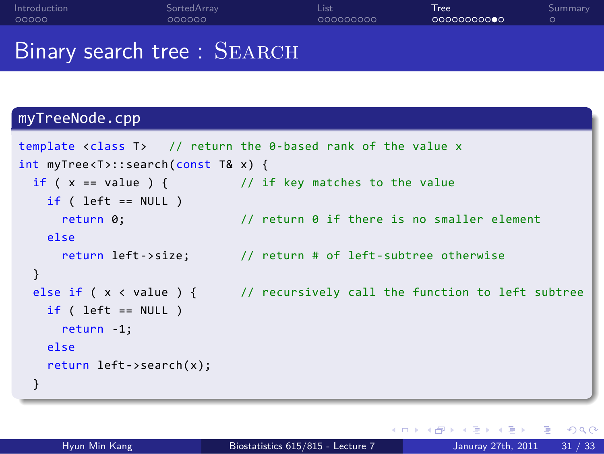#### . . . . . Introduction SortedArray<br>000000 List<br>000000000 Tree<br>000000000**0** Binary search tree : SEARCH

. Summary

### myTreeNode.cpp .. . template <class T> // return the 0-based rank of the value x int myTree<T>::search(const T& x) { if (  $x == value$  ) { // if key matches to the value  $if (left == NULL)$ return 0;  $\frac{1}{2}$  // return 0 if there is no smaller element else return left->size; // return # of left-subtree otherwise } else if ( $x <$  value ) { // recursively call the function to left subtree if ( left == NULL ) return -1; else return left->search(x); }

. . . . . . Hyun Min Kang Biostatistics 615/815 - Lecture 7 Januray 27th, 2011 31 / 33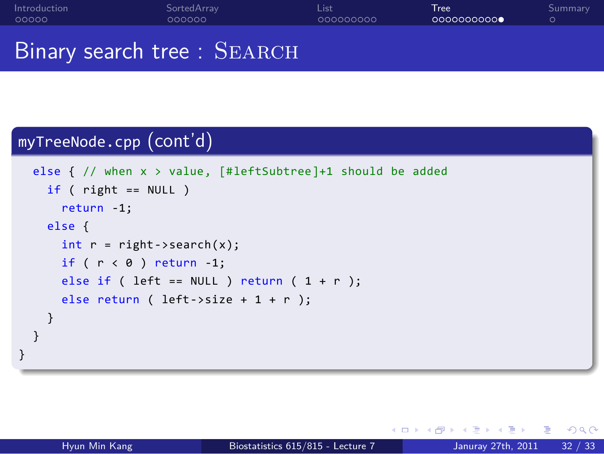#### . . . . . Introduction SortedArray<br>000000 List<br>000000000 Tree<br>0000000000 . Summary Binary search tree : SEARCH

### . myTreeNode.cpp (cont'd) ..

```
.
}
.. .
 else { // when x > value, [#leftSubtree]+1 should be added
  if ( right == NULL )
    return -1;
  else {
    int r = right->search(x);
    if (r < \theta) return -1;
    else if ( left == NULL ) return ( 1 + r );
    else return ( left->size + 1 + r );
  }
}
```